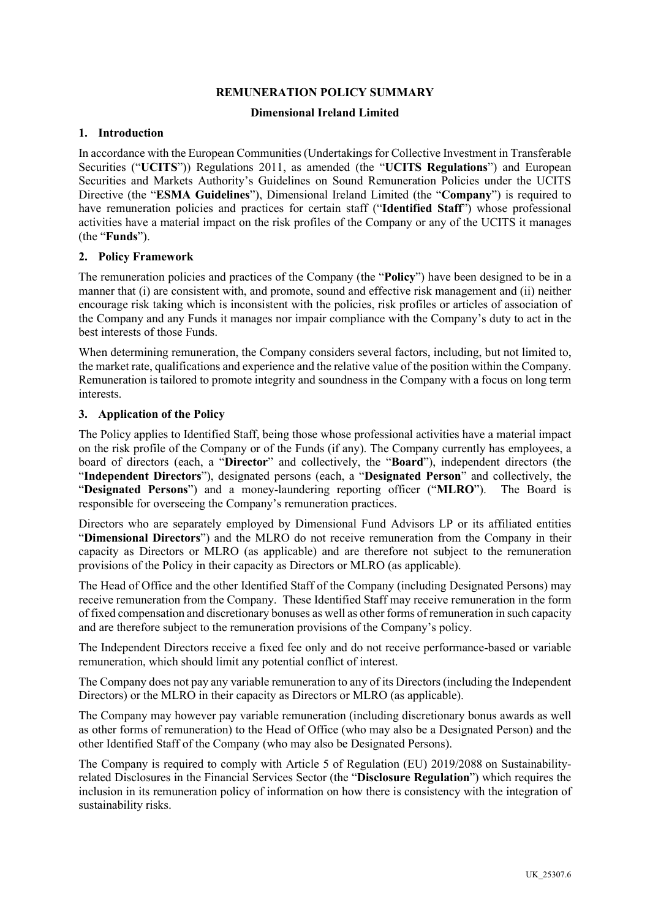### **REMUNERATION POLICY SUMMARY**

#### **Dimensional Ireland Limited**

#### **1. Introduction**

In accordance with the European Communities (Undertakings for Collective Investment in Transferable Securities ("**UCITS**")) Regulations 2011, as amended (the "**UCITS Regulations**") and European Securities and Markets Authority's Guidelines on Sound Remuneration Policies under the UCITS Directive (the "**ESMA Guidelines**"), Dimensional Ireland Limited (the "**Company**") is required to have remuneration policies and practices for certain staff ("**Identified Staff**") whose professional activities have a material impact on the risk profiles of the Company or any of the UCITS it manages (the "**Funds**").

#### **2. Policy Framework**

The remuneration policies and practices of the Company (the "**Policy**") have been designed to be in a manner that (i) are consistent with, and promote, sound and effective risk management and (ii) neither encourage risk taking which is inconsistent with the policies, risk profiles or articles of association of the Company and any Funds it manages nor impair compliance with the Company's duty to act in the best interests of those Funds.

When determining remuneration, the Company considers several factors, including, but not limited to, the market rate, qualifications and experience and the relative value of the position within the Company. Remuneration is tailored to promote integrity and soundness in the Company with a focus on long term interests.

#### **3. Application of the Policy**

The Policy applies to Identified Staff, being those whose professional activities have a material impact on the risk profile of the Company or of the Funds (if any). The Company currently has employees, a board of directors (each, a "**Director**" and collectively, the "**Board**"), independent directors (the "**Independent Directors**"), designated persons (each, a "**Designated Person**" and collectively, the "**Designated Persons**") and a money-laundering reporting officer ("**MLRO**"). The Board is responsible for overseeing the Company's remuneration practices.

Directors who are separately employed by Dimensional Fund Advisors LP or its affiliated entities "**Dimensional Directors**") and the MLRO do not receive remuneration from the Company in their capacity as Directors or MLRO (as applicable) and are therefore not subject to the remuneration provisions of the Policy in their capacity as Directors or MLRO (as applicable).

The Head of Office and the other Identified Staff of the Company (including Designated Persons) may receive remuneration from the Company. These Identified Staff may receive remuneration in the form of fixed compensation and discretionary bonuses as well as other forms of remuneration in such capacity and are therefore subject to the remuneration provisions of the Company's policy.

The Independent Directors receive a fixed fee only and do not receive performance-based or variable remuneration, which should limit any potential conflict of interest.

The Company does not pay any variable remuneration to any of its Directors (including the Independent Directors) or the MLRO in their capacity as Directors or MLRO (as applicable).

The Company may however pay variable remuneration (including discretionary bonus awards as well as other forms of remuneration) to the Head of Office (who may also be a Designated Person) and the other Identified Staff of the Company (who may also be Designated Persons).

The Company is required to comply with Article 5 of Regulation (EU) 2019/2088 on Sustainabilityrelated Disclosures in the Financial Services Sector (the "**Disclosure Regulation**") which requires the inclusion in its remuneration policy of information on how there is consistency with the integration of sustainability risks.